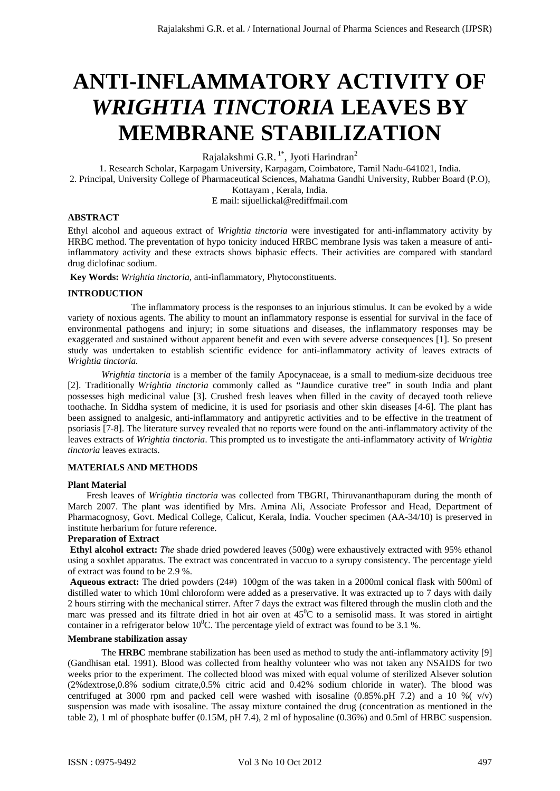# **ANTI-INFLAMMATORY ACTIVITY OF**  *WRIGHTIA TINCTORIA* **LEAVES BY MEMBRANE STABILIZATION**

Rajalakshmi $\mbox{G.R.}$ <br/> $^{1*}$ , Jyoti Harindran $^2$ 

1. Research Scholar, Karpagam University, Karpagam, Coimbatore, Tamil Nadu-641021, India. 2. Principal, University College of Pharmaceutical Sciences, Mahatma Gandhi University, Rubber Board (P.O), Kottayam , Kerala, India.

E mail: sijuellickal@rediffmail.com

# **ABSTRACT**

Ethyl alcohol and aqueous extract of *Wrightia tinctoria* were investigated for anti-inflammatory activity by HRBC method. The preventation of hypo tonicity induced HRBC membrane lysis was taken a measure of antiinflammatory activity and these extracts shows biphasic effects. Their activities are compared with standard drug diclofinac sodium.

 **Key Words:** *Wrightia tinctoria*, anti-inflammatory, Phytoconstituents.

## **INTRODUCTION**

 The inflammatory process is the responses to an injurious stimulus. It can be evoked by a wide variety of noxious agents. The ability to mount an inflammatory response is essential for survival in the face of environmental pathogens and injury; in some situations and diseases, the inflammatory responses may be exaggerated and sustained without apparent benefit and even with severe adverse consequences [1]. So present study was undertaken to establish scientific evidence for anti-inflammatory activity of leaves extracts of *Wrightia tinctoria.* 

*Wrightia tinctoria* is a member of the family Apocynaceae, is a small to medium-size deciduous tree [2]. Traditionally *Wrightia tinctoria* commonly called as "Jaundice curative tree" in south India and plant possesses high medicinal value [3]. Crushed fresh leaves when filled in the cavity of decayed tooth relieve toothache. In Siddha system of medicine, it is used for psoriasis and other skin diseases [4-6]. The plant has been assigned to analgesic, anti-inflammatory and antipyretic activities and to be effective in the treatment of psoriasis [7-8]. The literature survey revealed that no reports were found on the anti-inflammatory activity of the leaves extracts of *Wrightia tinctoria*. This prompted us to investigate the anti-inflammatory activity of *Wrightia tinctoria* leaves extracts.

# **MATERIALS AND METHODS**

#### **Plant Material**

 Fresh leaves of *Wrightia tinctoria* was collected from TBGRI, Thiruvananthapuram during the month of March 2007. The plant was identified by Mrs. Amina Ali, Associate Professor and Head, Department of Pharmacognosy, Govt. Medical College, Calicut, Kerala, India. Voucher specimen (AA-34/10) is preserved in institute herbarium for future reference.

# **Preparation of Extract**

**Ethyl alcohol extract:** *The* shade dried powdered leaves (500g) were exhaustively extracted with 95% ethanol using a soxhlet apparatus. The extract was concentrated in vaccuo to a syrupy consistency. The percentage yield of extract was found to be 2.9 %.

**Aqueous extract:** The dried powders (24#) 100gm of the was taken in a 2000ml conical flask with 500ml of distilled water to which 10ml chloroform were added as a preservative. It was extracted up to 7 days with daily 2 hours stirring with the mechanical stirrer. After 7 days the extract was filtered through the muslin cloth and the marc was pressed and its filtrate dried in hot air oven at  $45^{\circ}$ C to a semisolid mass. It was stored in airtight container in a refrigerator below 10<sup>°</sup>C. The percentage yield of extract was found to be 3.1 %.

## **Membrane stabilization assay**

The **HRBC** membrane stabilization has been used as method to study the anti-inflammatory activity [9] (Gandhisan etal. 1991). Blood was collected from healthy volunteer who was not taken any NSAIDS for two weeks prior to the experiment. The collected blood was mixed with equal volume of sterilized Alsever solution (2%dextrose,0.8% sodium citrate,0.5% citric acid and 0.42% sodium chloride in water). The blood was centrifuged at 3000 rpm and packed cell were washed with isosaline  $(0.85\% \text{ pH } 7.2)$  and a 10 % ( $v/v$ ) suspension was made with isosaline. The assay mixture contained the drug (concentration as mentioned in the table 2), 1 ml of phosphate buffer (0.15M, pH 7.4), 2 ml of hyposaline (0.36%) and 0.5ml of HRBC suspension.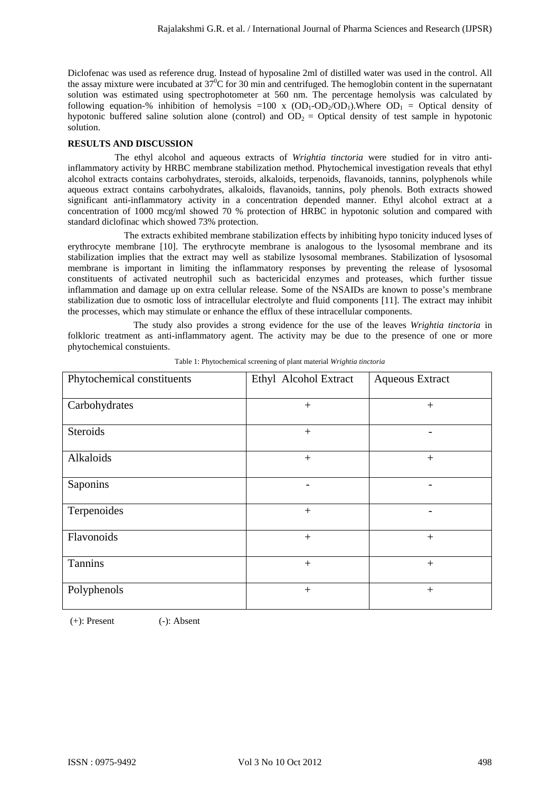Diclofenac was used as reference drug. Instead of hyposaline 2ml of distilled water was used in the control. All the assay mixture were incubated at  $37^{\circ}$ C for 30 min and centrifuged. The hemoglobin content in the supernatant solution was estimated using spectrophotometer at 560 nm. The percentage hemolysis was calculated by following equation-% inhibition of hemolysis =100 x  $(OD_1-OD_2/OD_1)$ . Where  $OD_1 = Optical$  density of hypotonic buffered saline solution alone (control) and  $OD<sub>2</sub> = Optical density of test sample in hypotonic$ solution.

# **RESULTS AND DISCUSSION**

 The ethyl alcohol and aqueous extracts of *Wrightia tinctoria* were studied for in vitro antiinflammatory activity by HRBC membrane stabilization method. Phytochemical investigation reveals that ethyl alcohol extracts contains carbohydrates, steroids, alkaloids, terpenoids, flavanoids, tannins, polyphenols while aqueous extract contains carbohydrates, alkaloids, flavanoids, tannins, poly phenols. Both extracts showed significant anti-inflammatory activity in a concentration depended manner. Ethyl alcohol extract at a concentration of 1000 mcg/ml showed 70 % protection of HRBC in hypotonic solution and compared with standard diclofinac which showed 73% protection.

 The extracts exhibited membrane stabilization effects by inhibiting hypo tonicity induced lyses of erythrocyte membrane [10]. The erythrocyte membrane is analogous to the lysosomal membrane and its stabilization implies that the extract may well as stabilize lysosomal membranes. Stabilization of lysosomal membrane is important in limiting the inflammatory responses by preventing the release of lysosomal constituents of activated neutrophil such as bactericidal enzymes and proteases, which further tissue inflammation and damage up on extra cellular release. Some of the NSAIDs are known to posse's membrane stabilization due to osmotic loss of intracellular electrolyte and fluid components [11]. The extract may inhibit the processes, which may stimulate or enhance the efflux of these intracellular components.

 The study also provides a strong evidence for the use of the leaves *Wrightia tinctoria* in folkloric treatment as anti-inflammatory agent. The activity may be due to the presence of one or more phytochemical constuients.

| Phytochemical constituents | Ethyl Alcohol Extract | <b>Aqueous Extract</b> |
|----------------------------|-----------------------|------------------------|
| Carbohydrates              | $+$                   | $+$                    |
| <b>Steroids</b>            | $^{+}$                |                        |
| Alkaloids                  | $+$                   |                        |
| Saponins                   |                       |                        |
| Terpenoides                | $+$                   |                        |
| Flavonoids                 | $+$                   | $^{+}$                 |
| Tannins                    | $+$                   | $+$                    |
| Polyphenols                | $+$                   | $^{+}$                 |

Table 1: Phytochemical screening of plant material *Wrightia tinctoria* 

 $(+)$ : Present  $(-)$ : Absent